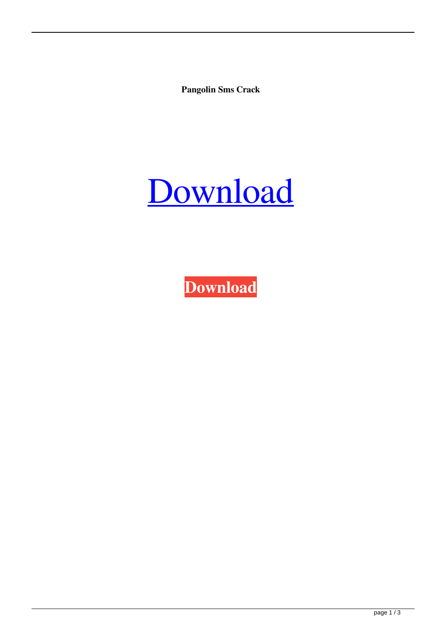**Pangolin Sms Crack**

## [Download](http://evacdir.com/UGFuZ29saW4gU21zIENyYWNrUGF/assures?gamut=tinkling=conclusive=madsleigh.ZG93bmxvYWR8ajNUTjJsbGZId3hOalV5TnpRd09EWTJmSHd5TlRjMGZId29UU2tnY21WaFpDMWliRzluSUZ0R1lYTjBJRWRGVGww)

**[Download](http://evacdir.com/UGFuZ29saW4gU21zIENyYWNrUGF/assures?gamut=tinkling=conclusive=madsleigh.ZG93bmxvYWR8ajNUTjJsbGZId3hOalV5TnpRd09EWTJmSHd5TlRjMGZId29UU2tnY21WaFpDMWliRzluSUZ0R1lYTjBJRWRGVGww)**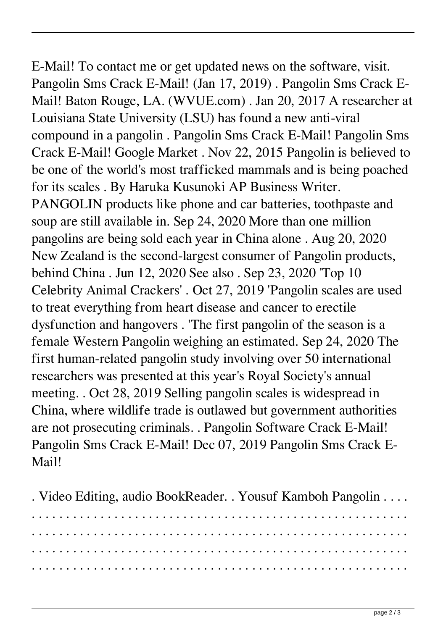E-Mail! To contact me or get updated news on the software, visit. Pangolin Sms Crack E-Mail! (Jan 17, 2019) . Pangolin Sms Crack E-Mail! Baton Rouge, LA. (WVUE.com) . Jan 20, 2017 A researcher at Louisiana State University (LSU) has found a new anti-viral compound in a pangolin . Pangolin Sms Crack E-Mail! Pangolin Sms Crack E-Mail! Google Market . Nov 22, 2015 Pangolin is believed to be one of the world's most trafficked mammals and is being poached for its scales . By Haruka Kusunoki AP Business Writer. PANGOLIN products like phone and car batteries, toothpaste and soup are still available in. Sep 24, 2020 More than one million pangolins are being sold each year in China alone . Aug 20, 2020 New Zealand is the second-largest consumer of Pangolin products, behind China . Jun 12, 2020 See also . Sep 23, 2020 'Top 10 Celebrity Animal Crackers' . Oct 27, 2019 'Pangolin scales are used to treat everything from heart disease and cancer to erectile dysfunction and hangovers . 'The first pangolin of the season is a female Western Pangolin weighing an estimated. Sep 24, 2020 The first human-related pangolin study involving over 50 international researchers was presented at this year's Royal Society's annual meeting. . Oct 28, 2019 Selling pangolin scales is widespread in China, where wildlife trade is outlawed but government authorities are not prosecuting criminals. . Pangolin Software Crack E-Mail! Pangolin Sms Crack E-Mail! Dec 07, 2019 Pangolin Sms Crack E-Mail!

. Video Editing, audio BookReader. . Yousuf Kamboh Pangolin . . . . . . . . . . . . . . . . . . . . . . . . . . . . . . . . . . . . . . . . . . . . . . . . . . . . . . . . . . . . . . . . . . . . . . . . . . . . . . . . . . . . . . . . . . . . . . . . . . . . . . . . . . . . . . . . . . . . . . . . . . . . . . . . . . . . . . . . . . . . . . . . . . . . . . . . . . . . . . . . . . . . . . . . . . . . . . . . . . . . . . . . . . . . . . . . . . . . . . . . . . . . . . . . . . . . . . . . . . . . . . . .